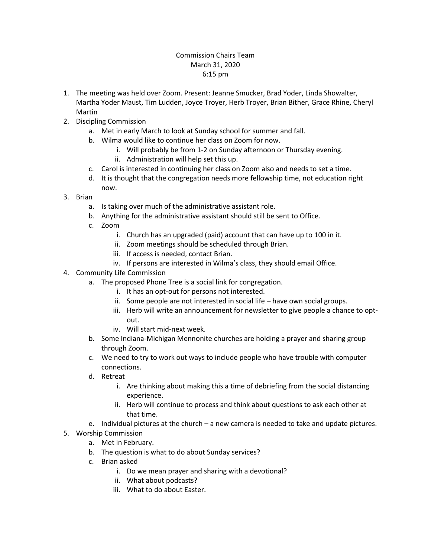## Commission Chairs Team March 31, 2020 6:15 pm

- 1. The meeting was held over Zoom. Present: Jeanne Smucker, Brad Yoder, Linda Showalter, Martha Yoder Maust, Tim Ludden, Joyce Troyer, Herb Troyer, Brian Bither, Grace Rhine, Cheryl Martin
- 2. Discipling Commission
	- a. Met in early March to look at Sunday school for summer and fall.
	- b. Wilma would like to continue her class on Zoom for now.
		- i. Will probably be from 1-2 on Sunday afternoon or Thursday evening.
		- ii. Administration will help set this up.
	- c. Carol is interested in continuing her class on Zoom also and needs to set a time.
	- d. It is thought that the congregation needs more fellowship time, not education right now.
- 3. Brian
	- a. Is taking over much of the administrative assistant role.
	- b. Anything for the administrative assistant should still be sent to Office.
	- c. Zoom
		- i. Church has an upgraded (paid) account that can have up to 100 in it.
		- ii. Zoom meetings should be scheduled through Brian.
		- iii. If access is needed, contact Brian.
		- iv. If persons are interested in Wilma's class, they should email Office.
- 4. Community Life Commission
	- a. The proposed Phone Tree is a social link for congregation.
		- i. It has an opt-out for persons not interested.
		- ii. Some people are not interested in social life have own social groups.
		- iii. Herb will write an announcement for newsletter to give people a chance to optout.
		- iv. Will start mid-next week.
	- b. Some Indiana-Michigan Mennonite churches are holding a prayer and sharing group through Zoom.
	- c. We need to try to work out ways to include people who have trouble with computer connections.
	- d. Retreat
		- i. Are thinking about making this a time of debriefing from the social distancing experience.
		- ii. Herb will continue to process and think about questions to ask each other at that time.
	- e. Individual pictures at the church a new camera is needed to take and update pictures.
- 5. Worship Commission
	- a. Met in February.
	- b. The question is what to do about Sunday services?
	- c. Brian asked
		- i. Do we mean prayer and sharing with a devotional?
		- ii. What about podcasts?
		- iii. What to do about Easter.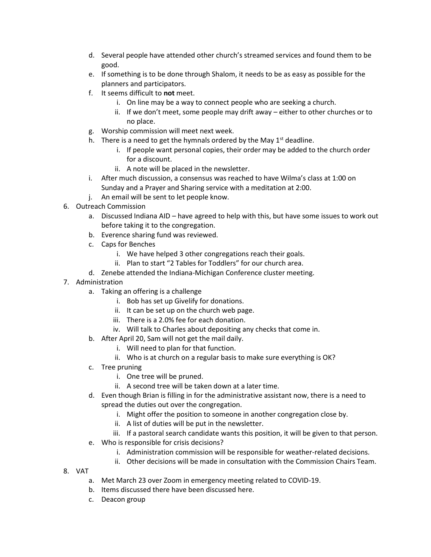- d. Several people have attended other church's streamed services and found them to be good.
- e. If something is to be done through Shalom, it needs to be as easy as possible for the planners and participators.
- f. It seems difficult to **not** meet.
	- i. On line may be a way to connect people who are seeking a church.
	- ii. If we don't meet, some people may drift away either to other churches or to no place.
- g. Worship commission will meet next week.
- h. There is a need to get the hymnals ordered by the May  $1<sup>st</sup>$  deadline.
	- i. If people want personal copies, their order may be added to the church order for a discount.
	- ii. A note will be placed in the newsletter.
- i. After much discussion, a consensus was reached to have Wilma's class at 1:00 on Sunday and a Prayer and Sharing service with a meditation at 2:00.
- j. An email will be sent to let people know.
- 6. Outreach Commission
	- a. Discussed Indiana AID have agreed to help with this, but have some issues to work out before taking it to the congregation.
	- b. Everence sharing fund was reviewed.
	- c. Caps for Benches
		- i. We have helped 3 other congregations reach their goals.
		- ii. Plan to start "2 Tables for Toddlers" for our church area.
	- d. Zenebe attended the Indiana-Michigan Conference cluster meeting.
- 7. Administration
	- a. Taking an offering is a challenge
		- i. Bob has set up Givelify for donations.
		- ii. It can be set up on the church web page.
		- iii. There is a 2.0% fee for each donation.
		- iv. Will talk to Charles about depositing any checks that come in.
	- b. After April 20, Sam will not get the mail daily.
		- i. Will need to plan for that function.
		- ii. Who is at church on a regular basis to make sure everything is OK?
	- c. Tree pruning
		- i. One tree will be pruned.
		- ii. A second tree will be taken down at a later time.
	- d. Even though Brian is filling in for the administrative assistant now, there is a need to spread the duties out over the congregation.
		- i. Might offer the position to someone in another congregation close by.
		- ii. A list of duties will be put in the newsletter.
		- iii. If a pastoral search candidate wants this position, it will be given to that person.
	- e. Who is responsible for crisis decisions?
		- i. Administration commission will be responsible for weather-related decisions.
		- ii. Other decisions will be made in consultation with the Commission Chairs Team.
- 8. VAT
	- a. Met March 23 over Zoom in emergency meeting related to COVID-19.
	- b. Items discussed there have been discussed here.
	- c. Deacon group